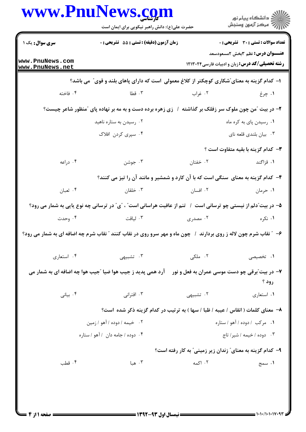|                                    | حضرت علی(ع): دانش راهبر نیکویی برای ایمان است                                                                    |           | ڪ دانشڪاه پيا <sub>م</sub> نور<br>ر <i>7</i> مرڪز آزمون وسنڊش                                   |
|------------------------------------|------------------------------------------------------------------------------------------------------------------|-----------|-------------------------------------------------------------------------------------------------|
| سری سوال: یک ۱                     | زمان آزمون (دقیقه) : تستی : 55 آتشریحی : 0                                                                       |           | <b>تعداد سوالات : تستی : 30 ٪ تشریحی : 0</b>                                                    |
| www.PnuNews.com<br>www.PnuNews.net |                                                                                                                  |           | <b>عنـــوان درس:</b> نظم 3بخش 2مسعودسعد<br><b>رشته تحصیلی/کد درس:</b> زبان و ادبیات فارسی۲۱۳۰۲۴ |
|                                    | ا– کدام گزینه به معنای ّشکاری کوچکتر از کلاغ معمولی است که دارای پاهای بلند و قوی ّ می باشد؟                     |           |                                                                                                 |
| ۰۴ فاخته                           | ۰۳ قطا                                                                                                           | ۰۲ غراب   | ۱. چرغ                                                                                          |
|                                    | ۲- در بیت آمن چون ملوک سر زفلک بر گذاشته ۱ زی زهره برده دست و به مه بر نهاده پای آمنظور شاعر چیست؟               |           |                                                                                                 |
|                                    | ۰۲ رسیدن به ستاره ناهید                                                                                          |           | ۰۱ رسیدن پای به کره ماه                                                                         |
|                                    | ۰۴ سپری کردن افلاک                                                                                               |           | ۰۳ بیان بلندی قلعه نای                                                                          |
|                                    |                                                                                                                  |           | <b>۳</b> - کدام گزینه با بقیه متفاوت است ؟                                                      |
| ۰۴ دراعه                           | ۰۳ جوشن                                                                                                          | ۰۲ خفتان  | ۰۱ قزاگند                                                                                       |
|                                    | ۴- کدام گزینه به معنای سنگی است که با آن کارد و شمشیر و مانند آن را تیز می کنند؟                                 |           |                                                                                                 |
| ۰۴ ثعبان                           | ۰۳ خلقان                                                                                                         | ۰۲ افسان  | ۰۱ حرمان                                                                                        |
|                                    | ۵– در بیت ّدلم از نیستی چو ترسانی است ۱ تنم از عافیت هراسانی است ؒ ،  ؒی ؒ در ترسانی چه نوع یایی به شمار می رود؟ |           |                                                                                                 |
| ۰۴ وحدت                            | ۰۳ لیاقت                                                                                                         | ۰۲ مصدری  | ۰۱ نکره                                                                                         |
|                                    | ۶- ″ نقاب شرم چون لاله ز روی بردارند ۱ چون ماه و مهر سرو روی در نقاب کنند ″ نقاب شرم چه اضافه ای به شمار می رود؟ |           |                                                                                                 |
| ۰۴ استعاري                         | ۰۳ تشبیهی                                                                                                        | ۲. ملکی   | ۰۱ تخصیصی                                                                                       |
|                                    | ۷- در بیت ؒبرقی چو دست موسی عمران به فعل و نور ۔ آرد همی پدید ز جیب هوا ضیا ؒجیب هوا چه اضافه ای به شمار می      |           |                                                                                                 |
|                                    |                                                                                                                  |           | رود ؟                                                                                           |
| ۰۴ بياني                           | ۰۳ اقترانی                                                                                                       | ۰۲ تشبیهی | ۰۱ استعاری                                                                                      |
|                                    | ۸– معنای کلمات ( انقاس / عیبه / ظبا / سها ) به ترتیب در کدام گزینه ذکر شده است؟                                  |           |                                                                                                 |
|                                    | ۰۲ خیمه / دوده / آهو / زمین                                                                                      |           | ٠١ مركب / دوده / آهو / ستاره                                                                    |
|                                    | ۰۴ دوده / جامه دان ۱ آهو / ستاره                                                                                 |           | ۰۳ دوده / خیمه / شیر/ تاج                                                                       |
|                                    |                                                                                                                  |           | ۹- کدام گزینه به معنای ؒ زندان زیر زمینی ؒ به کار رفته است؟                                     |
| ۰۴ قطب                             | ۰۳ هبا                                                                                                           | ۰۲ اکمه   | ۰۱ سمج                                                                                          |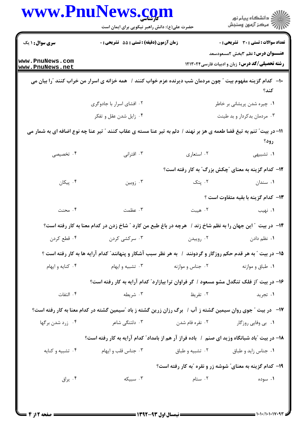|                                    | www.PnuNews.com<br>حضرت علی(ع): دانش راهبر نیکویی برای ایمان است                                                     |                  | ڪ دانشڪاه پيام نور<br>ر∕⊂ مرڪز آزمون وسنڊش                                                        |
|------------------------------------|----------------------------------------------------------------------------------------------------------------------|------------------|---------------------------------------------------------------------------------------------------|
| <b>سری سوال : ۱ یک</b>             | زمان آزمون (دقیقه) : تستی : 55 تشریحی : 0                                                                            |                  | <b>تعداد سوالات : تستی : 30 ٪ تشریحی : 0</b>                                                      |
| www.PnuNews.com<br>www.PnuNews.net |                                                                                                                      |                  | <b>عنـــوان درس:</b> نظم 3بخش 2مسعودسعد<br><b>رشته تحصیلی/کد درس:</b> زبان و ادبیات فارسی ۱۲۱۳۰۲۴ |
|                                    | ∙ا− کدام گزینه مفهوم بیت ″چون مردمان شب دیرنده عزم خواب کنند / همه خزانه ی اسرار من خراب کنند ″را بیان می            |                  | كند؟                                                                                              |
|                                    | ۰۲ افشای اسرار با جادوگری                                                                                            |                  | ۰۱ چیره شدن پریشانی بر خاطر                                                                       |
|                                    | ۰۴ زایل شدن عقل و تفکر                                                                                               |                  | ۰۳ مردمان بدکردار و بد طینت                                                                       |
|                                    | 11- در بیت ؒ تنم به تیغ قضا طعمه ی هز بر نهند / دلم به تیر عنا مسته ی عقاب کنند ؒ تیر عنا چه نوع اضافه ای به شمار می |                  | رود؟                                                                                              |
| ۴. تخصیصی                          | ۰۳ اقترانی                                                                                                           | ۰۲ استعاری       | ۰۱ تشبیهی                                                                                         |
|                                    |                                                                                                                      |                  | ۱۲– کدام گزینه به معنای ″چکش بزرگ″ به کار رفته است؟                                               |
| ۰۴ پیکان                           | ۰۳ زوبين                                                                                                             |                  | ۰۲ پتک<br>۰۱ سندان                                                                                |
|                                    |                                                                                                                      |                  | <b>۱۳</b> کدام گزینه با بقیه متفاوت است ؟                                                         |
| ۰۴ محنت                            | ۰۳ عظمت                                                                                                              | ۰۲ هیبت          | ۰۱ نهيب                                                                                           |
|                                    | ۱۴– در بیت ″ این جهان را به نظم شاخ زند / ً هرچه در باغ طبع من کارد ″ شاخ زدن در کدام معنا به کار رفته است؟          |                  |                                                                                                   |
| ۰۴ قطع کردن                        | ۰۳ سرکشی کردن                                                                                                        | ۰۲ روپیدن        | ۰۱ نظم دادن                                                                                       |
|                                    | ۱۵– در بیت ″ به هر قدم حکم روزگار و گردونند ∫ به هر نظر سبب آشکار و پنهانند″ کدام آرایه ها به کار رفته است ؟         |                  |                                                                                                   |
| ۰۴ کنایه و ایهام                   | ۰۳ تشبیه و ایهام                                                                                                     | ۰۲ جناس و موازنه | ۰۱ طباق و موازنه                                                                                  |
|                                    | ۱۶- در بیت آز فلک تنگدل مشو مسعود / گر فراوان ترا بیازارد" کدام آرایه به کار رفته است؟                               |                  |                                                                                                   |
| ۰۴ التفات                          | ۰۳ شریطه                                                                                                             | ۰۲ تقریظ         | ۰۱ تجرید                                                                                          |
|                                    | ۱۷− در بیت ″جوی روان سیمین گشته ز آب / برگ رزان زرین گشته ز باد ″سیمین گشته در کدام معنا به کار رفته است؟            |                  |                                                                                                   |
| ۰۴ زرد شدن برگها                   | ۰۳ دلتنگی شاعر                                                                                                       | ۰۲ نقره فام شدن  | ۰۱ بی وفایی روزگار                                                                                |
|                                    | ۱۸– در بیت آباد شبانگاه وزید ای صنم ۱ باده فراز آر هم از بامداد" کدام آرایه به کار رفته است؟                         |                  |                                                                                                   |
| ۰۴ تشبیه و کنایه                   | ۰۳ جناس قلب و ايهام                                                                                                  | ۰۲ تشبیه و طباق  | ۰۱ جناس زاید و طباق                                                                               |
|                                    |                                                                                                                      |                  | ۱۹- کدام گزینه به معنای ؒ شوشه زر و نقره ؒبه کار رفته است؟                                        |
| ۰۴ يراق                            | ۰۳ سبیکه                                                                                                             | ۰۲ ستام          | ۰۱ سوده                                                                                           |
|                                    |                                                                                                                      |                  |                                                                                                   |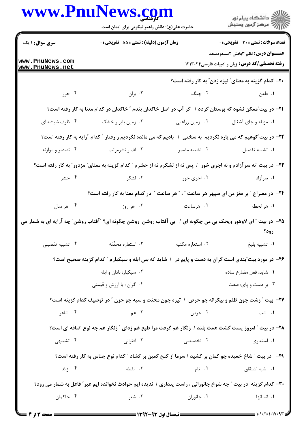| www.PnuNews.com                    | حضرت علی(ع): دانش راهبر نیکویی برای ایمان است                                                                           |                                                                                                            | انشگاه پيام نور)<br>اگر مرکز آزمون وسنجش                                                          |
|------------------------------------|-------------------------------------------------------------------------------------------------------------------------|------------------------------------------------------------------------------------------------------------|---------------------------------------------------------------------------------------------------|
| <b>سری سوال : ۱ یک</b>             | زمان آزمون (دقیقه) : تستی : 55 آتشریحی : 0                                                                              |                                                                                                            | تعداد سوالات : تستي : 30 ٪ تشريحي : 0                                                             |
| www.PnuNews.com<br>www.PnuNews.net |                                                                                                                         |                                                                                                            | <b>عنـــوان درس:</b> نظم 3بخش 2مسعودسعد<br><b>رشته تحصیلی/کد درس:</b> زبان و ادبیات فارسی ۱۲۱۳۰۲۴ |
|                                    |                                                                                                                         |                                                                                                            | ۲۰– کدام گزینه به معنای ؒ نیزه زدن ؒ به کار رفته است؟                                             |
| ۰۴ حرز                             | بزان ۲۰ $\cdot$                                                                                                         | ۲. چنگ                                                                                                     | ۱. طعن                                                                                            |
|                                    | <b>۳۱</b> - در بیت ّممکن نشود که بوستان گردد / گر آب در اصل خاکدان بندم ″ خاکدان در کدام معنا به کار رفته است؟          |                                                                                                            |                                                                                                   |
| ۰۴ ظرف شیشه ای                     | ۰۳ زمین بایر و خشک                                                                                                      | ۰۲ زمین زراعتی                                                                                             | ۰۱ مزبله و جای آشغال                                                                              |
|                                    | ۲۲- در بیت ّکوهیم که می پاره نگردیم ً به سختی ۱ ً بادیم که می مانده نگردیم ز رفتار ″ کدام آرایه به کار رفته است؟        |                                                                                                            |                                                                                                   |
| ۰۴ تصدیر و موازنه                  | ۰۳ لف و نشرمرتب                                                                                                         | ۰۲ تشبیه مضمر                                                                                              | ٠١ تشبيه تفضيل                                                                                    |
|                                    | <b>۲۳</b> - در بیت "نه سرآزادم و نه اجری خور ۱ پس نه از لشکرم نه از حشرم " کدام گزینه به معنای" مزدور" به کار رفته است؟ |                                                                                                            |                                                                                                   |
| ۰۴ حشر                             | ۰۳ لشکر                                                                                                                 | ۰۲ اجری خور                                                                                                | ۰۱ سرآزاد                                                                                         |
|                                    | <b>۲۴</b> - در مصراع " بر مغز من ای سپهر هر ساعت " ، " هر ساعت " در کدام معنا به کار رفته است؟                          |                                                                                                            |                                                                                                   |
| ۰۴ هر سال                          |                                                                                                                         | ۲. هرساعت می ۲. هر روز                                                                                     | ۰۱ هر لحظه                                                                                        |
|                                    | ۲۵- در بیت " ای لاوهور ویحک بی من چگونه ای / بی آفتاب روشن روشن چگونه ای؟ "آفتاب روشن" چه آرایه ای به شمار می           |                                                                                                            | رود؟                                                                                              |
| ۰۴ تشبیه تفضیلی                    | ۰۳ استعاره محقّقه                                                                                                       | ٠٢ استعاره مكنيه                                                                                           | ٠١ تشبيه بليغ                                                                                     |
|                                    | ۲۶- در مورد بیت ّبندی است گران به دست و پایم در ۱ شاید که بس ابله و سبکبارم " کدام گزینه صحیح است؟                      |                                                                                                            |                                                                                                   |
|                                    | ۰۲ سبکبار: نادان و ابله                                                                                                 |                                                                                                            | ٠١ شايد: فعل مضارع ساده                                                                           |
|                                    | ۰۴ گران : با ارزش و قیمتی                                                                                               |                                                                                                            | ۰۳ بر دست و پای: صفت                                                                              |
|                                    | <b>۲۷</b> - بیت " زشت چون ظلم و بیکرانه چو حرص ۱ تیره چون محنت و سیه چو حزن " در توصیف کدام گزینه است؟                  |                                                                                                            |                                                                                                   |
| ۰۴ شاعر                            |                                                                                                                         | ۲. حرص مسلمین است به سال ۱۳ میل میبرد و می کنیم است که از این مناسب است که از این مناسب است که از این مناس | ۰۱ شب                                                                                             |
|                                    | ۲۸- در بیت " امروز پست گشت همت بلند / زنگار غم گرفت مرا طبع غم زدای " زنگار غم چه نوع اضافه ای است؟                     |                                                                                                            |                                                                                                   |
| ۰۴ تشبیهی                          | ۰۳ اقترانی                                                                                                              | ۰۲ تخصیصی                                                                                                  | ۰۱ استعاری                                                                                        |
|                                    | <b>۲۹</b> - در بیت " شاخ خمیده چو کمان بر کشید / سرما از کنج کمین بر گشاد " کدام نوع جناس به کار رفته است؟              |                                                                                                            |                                                                                                   |
| ۰۴ زائد                            | ۰۳ نقطه                                                                                                                 | ۰۲ تام میلی تابع است و تابع است و تابع است که است که است که است که است که است که است که است که است ک       | ٠١ شبه اشتقاق                                                                                     |
|                                    | ۳۰- کدام گزینه در بیت ″ چه شوخ جانورانی ، راست پنداری / ندیده ایم حوادث نخوانده ایم عبر ″ فاعل به شمار می رود؟          |                                                                                                            |                                                                                                   |
|                                    |                                                                                                                         |                                                                                                            |                                                                                                   |